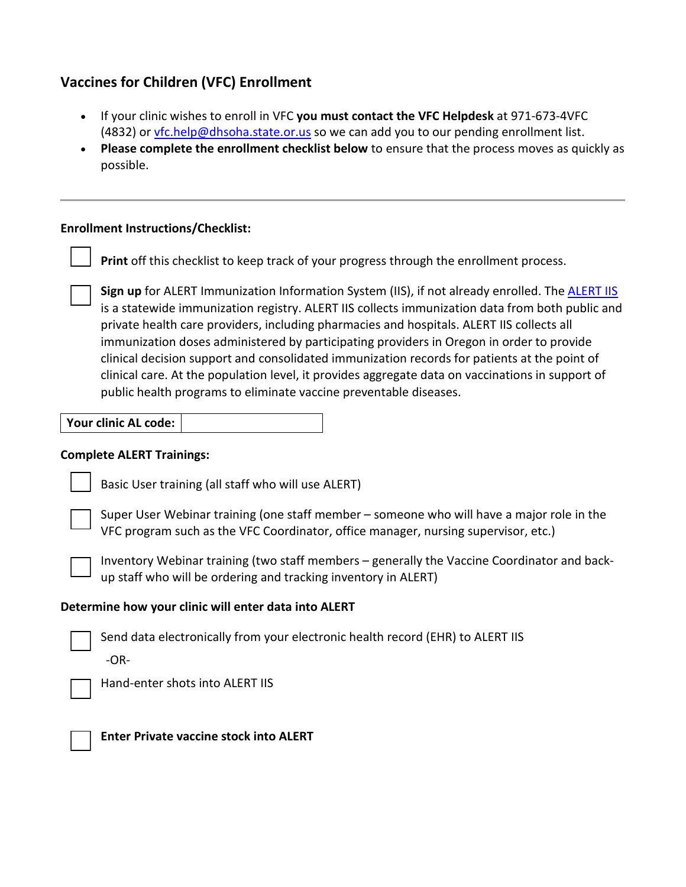# **Vaccines for Children (VFC) Enrollment**

- If your clinic wishes to enroll in VFC **you must contact the VFC Helpdesk** at 971-673-4VFC (4832) or [vfc.help@dhsoha.state.or.us](mailto:vfc.help@dhsoha.state.or.us) so we can add you to our pending enrollment list.
- **Please complete the enrollment checklist below** to ensure that the process moves as quickly as possible.

# **Enrollment Instructions/Checklist:**

**Print** off this checklist to keep track of your progress through the enrollment process.

**Sign up** for ALERT Immunization Information System (IIS), if not already enrolled. The [ALERT IIS](https://www.oregon.gov/oha/PH/PreventionWellness/VaccinesImmunization/alert/Pages/EnrollNewClinic.aspx) is a statewide immunization registry. ALERT IIS collects immunization data from both public and private health care providers, including pharmacies and hospitals. ALERT IIS collects all immunization doses administered by participating providers in Oregon in order to provide clinical decision support and consolidated immunization records for patients at the point of clinical care. At the population level, it provides aggregate data on vaccinations in support of public health programs to eliminate vaccine preventable diseases.

| Your clinic AL code: |  |
|----------------------|--|
|----------------------|--|

#### **Complete ALERT Trainings:**



Basic User training (all staff who will use ALERT)

Super User Webinar training (one staff member – someone who will have a major role in the VFC program such as the VFC Coordinator, office manager, nursing supervisor, etc.)



Inventory Webinar training (two staff members – generally the Vaccine Coordinator and backup staff who will be ordering and tracking inventory in ALERT)

# **Determine how your clinic will enter data into ALERT**



Send data electronically from your electronic health record (EHR) to ALERT IIS -OR-



Hand-enter shots into ALERT IIS



**Enter Private vaccine stock into ALERT**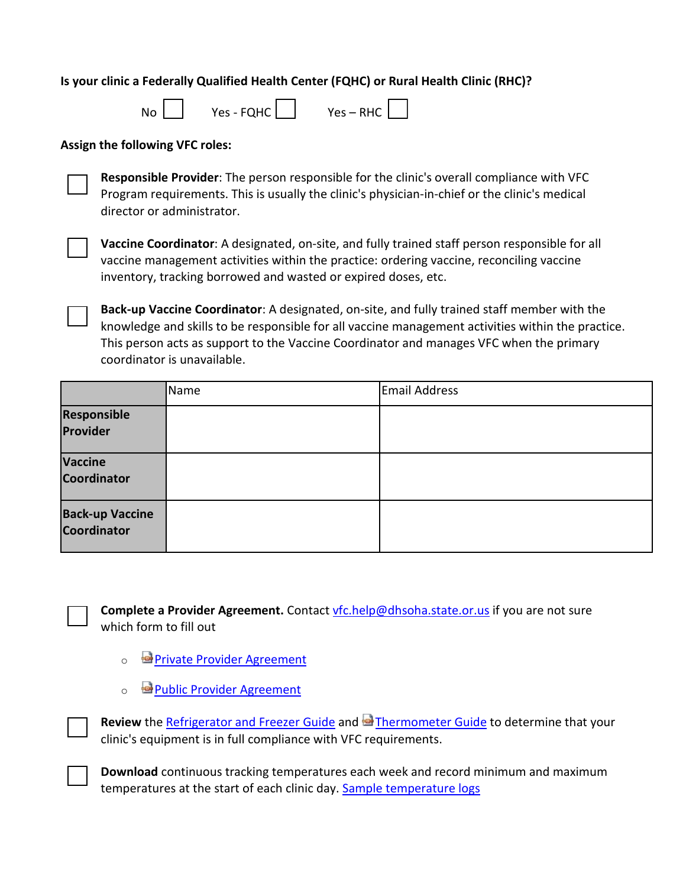# **Is your clinic a Federally Qualified Health Center (FQHC) or Rural Health Clinic (RHC)?**

| No<br>Yes - FQHC | $Yes - RHC$ |
|------------------|-------------|
|------------------|-------------|

#### **Assign the following VFC roles:**

**Responsible Provider**: The person responsible for the clinic's overall compliance with VFC Program requirements. This is usually the clinic's physician-in-chief or the clinic's medical director or administrator.

**Vaccine Coordinator**: A designated, on-site, and fully trained staff person responsible for all vaccine management activities within the practice: ordering vaccine, reconciling vaccine inventory, tracking borrowed and wasted or expired doses, etc.

**Back-up Vaccine Coordinator**: A designated, on-site, and fully trained staff member with the knowledge and skills to be responsible for all vaccine management activities within the practice. This person acts as support to the Vaccine Coordinator and manages VFC when the primary coordinator is unavailable.

|                                       | Name | Email Address |
|---------------------------------------|------|---------------|
| Responsible<br>Provider               |      |               |
| Vaccine<br>Coordinator                |      |               |
| <b>Back-up Vaccine</b><br>Coordinator |      |               |



**Complete a Provider Agreement.** Contact [vfc.help@dhsoha.state.or.us](mailto:vfc.help@dhsoha.state.or.us) if you are not sure which form to fill out

- o **[Private Provider Agreement](https://www.oregon.gov/oha/PH/PREVENTIONWELLNESS/VACCINESIMMUNIZATION/IMMUNIZATIONPROVIDERRESOURCES/VFC/Documents/VFCPrivProvAgrmnt.pdf)**
- o **[Public Provider Agreement](https://www.oregon.gov/oha/PH/PREVENTIONWELLNESS/VACCINESIMMUNIZATION/IMMUNIZATIONPROVIDERRESOURCES/VFC/Documents/VFCPubProvAgrmnt.pdf)**

Review the [Refrigerator and Freezer Guide](https://www.oregon.gov/oha/PH/PREVENTIONWELLNESS/VACCINESIMMUNIZATION/IMMUNIZATIONPROVIDERRESOURCES/VFC/Documents/VFCfridgefreezerguide.pdf) and **Pa** [Thermometer Guide](https://www.oregon.gov/oha/PH/PREVENTIONWELLNESS/VACCINESIMMUNIZATION/IMMUNIZATIONPROVIDERRESOURCES/VFC/Documents/VFCthermguide.pdf) to determine that your clinic's equipment is in full compliance with VFC requirements.

**Download** continuous tracking temperatures each week and record minimum and maximum temperatures at the start of each clinic day[. Sample temperature logs](https://www.oregon.gov/oha/PH/PREVENTIONWELLNESS/VACCINESIMMUNIZATION/IMMUNIZATIONPROVIDERRESOURCES/Pages/provresources.aspx)